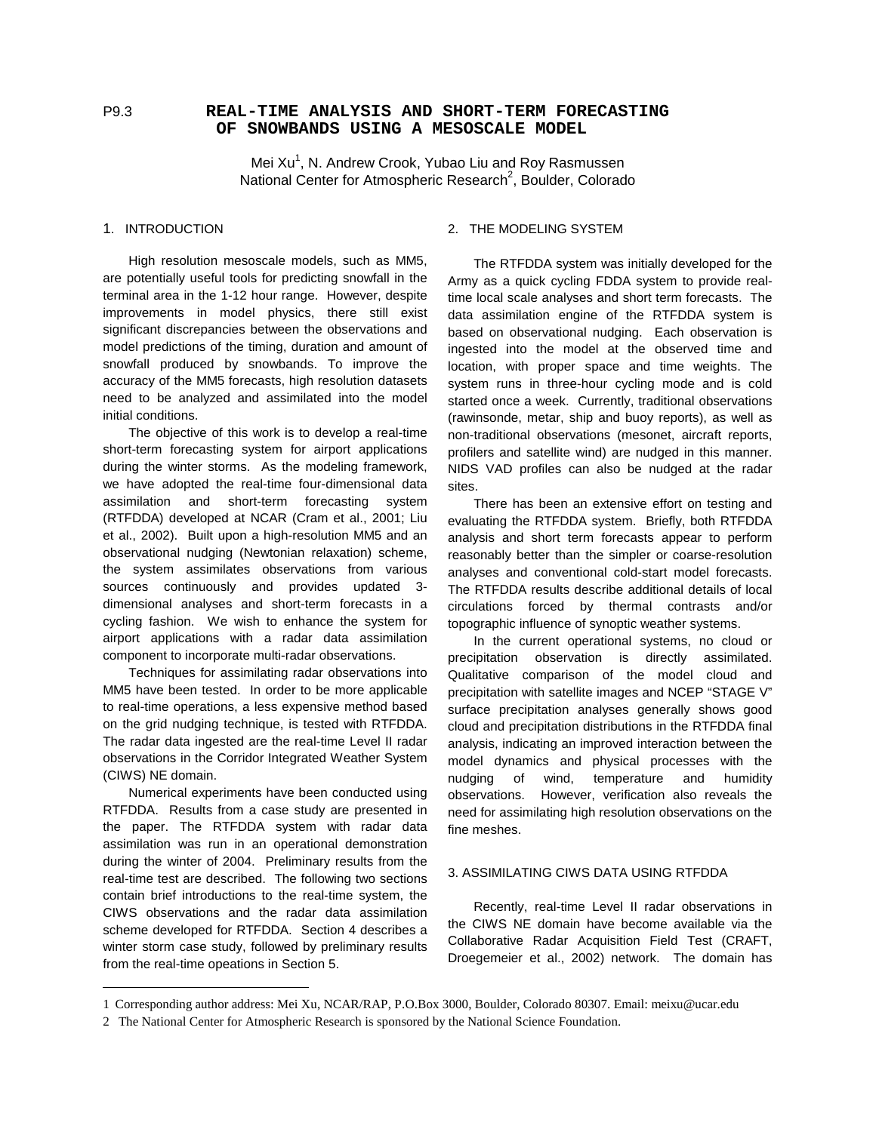# P9.3 **REAL-TIME ANALYSIS AND SHORT-TERM FORECASTING OF SNOWBANDS USING A MESOSCALE MODEL**

Mei Xu<sup>1</sup>, N. Andrew Crook, Yubao Liu and Roy Rasmussen National Center for Atmospheric Research<sup>2</sup>, Boulder, Colorado

# 1. INTRODUCTION

High resolution mesoscale models, such as MM5, are potentially useful tools for predicting snowfall in the terminal area in the 1-12 hour range. However, despite improvements in model physics, there still exist significant discrepancies between the observations and model predictions of the timing, duration and amount of snowfall produced by snowbands. To improve the accuracy of the MM5 forecasts, high resolution datasets need to be analyzed and assimilated into the model initial conditions.

The objective of this work is to develop a real-time short-term forecasting system for airport applications during the winter storms. As the modeling framework, we have adopted the real-time four-dimensional data assimilation and short-term forecasting system (RTFDDA) developed at NCAR (Cram et al., 2001; Liu et al., 2002). Built upon a high-resolution MM5 and an observational nudging (Newtonian relaxation) scheme, the system assimilates observations from various sources continuously and provides updated 3 dimensional analyses and short-term forecasts in a cycling fashion. We wish to enhance the system for airport applications with a radar data assimilation component to incorporate multi-radar observations.

Techniques for assimilating radar observations into MM5 have been tested. In order to be more applicable to real-time operations, a less expensive method based on the grid nudging technique, is tested with RTFDDA. The radar data ingested are the real-time Level II radar observations in the Corridor Integrated Weather System (CIWS) NE domain.

Numerical experiments have been conducted using RTFDDA. Results from a case study are presented in the paper. The RTFDDA system with radar data assimilation was run in an operational demonstration during the winter of 2004. Preliminary results from the real-time test are described. The following two sections contain brief introductions to the real-time system, the CIWS observations and the radar data assimilation scheme developed for RTFDDA. Section 4 describes a winter storm case study, followed by preliminary results from the real-time opeations in Section 5.

-

## 2. THE MODELING SYSTEM

The RTFDDA system was initially developed for the Army as a quick cycling FDDA system to provide realtime local scale analyses and short term forecasts. The data assimilation engine of the RTFDDA system is based on observational nudging. Each observation is ingested into the model at the observed time and location, with proper space and time weights. The system runs in three-hour cycling mode and is cold started once a week. Currently, traditional observations (rawinsonde, metar, ship and buoy reports), as well as non-traditional observations (mesonet, aircraft reports, profilers and satellite wind) are nudged in this manner. NIDS VAD profiles can also be nudged at the radar sites.

There has been an extensive effort on testing and evaluating the RTFDDA system. Briefly, both RTFDDA analysis and short term forecasts appear to perform reasonably better than the simpler or coarse-resolution analyses and conventional cold-start model forecasts. The RTFDDA results describe additional details of local circulations forced by thermal contrasts and/or topographic influence of synoptic weather systems.

In the current operational systems, no cloud or precipitation observation is directly assimilated. Qualitative comparison of the model cloud and precipitation with satellite images and NCEP "STAGE V" surface precipitation analyses generally shows good cloud and precipitation distributions in the RTFDDA final analysis, indicating an improved interaction between the model dynamics and physical processes with the nudging of wind, temperature and humidity observations. However, verification also reveals the need for assimilating high resolution observations on the fine meshes.

# 3. ASSIMILATING CIWS DATA USING RTFDDA

Recently, real-time Level II radar observations in the CIWS NE domain have become available via the Collaborative Radar Acquisition Field Test (CRAFT, Droegemeier et al., 2002) network. The domain has

<sup>1</sup> Corresponding author address: Mei Xu, NCAR/RAP, P.O.Box 3000, Boulder, Colorado 80307. Email: meixu@ucar.edu

<sup>2</sup> The National Center for Atmospheric Research is sponsored by the National Science Foundation.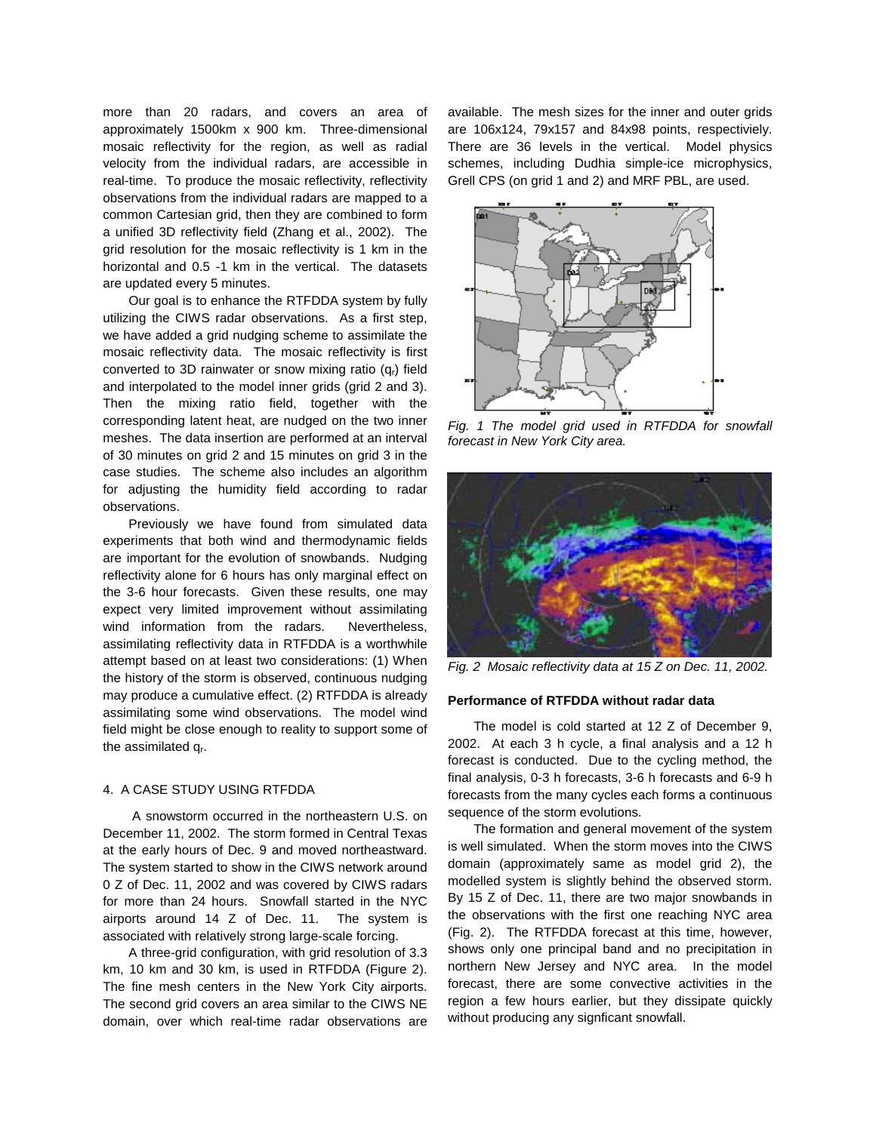more than 20 radars, and covers an area of approximately 1500km x 900 km. Three-dimensional mosaic reflectivity for the region, as well as radial velocity from the individual radars, are accessible in real-time. To produce the mosaic reflectivity, reflectivity observations from the individual radars are mapped to a common Cartesian grid, then they are combined to form a unified 3D reflectivity field (Zhang et al., 2002). The grid resolution for the mosaic reflectivity is 1 km in the horizontal and 0.5 -1 km in the vertical. The datasets are updated every 5 minutes.

Our goal is to enhance the RTFDDA system by fully utilizing the CIWS radar observations. As a first step, we have added a grid nudging scheme to assimilate the mosaic reflectivity data. The mosaic reflectivity is first converted to 3D rainwater or snow mixing ratio  $(q<sub>r</sub>)$  field and interpolated to the model inner grids (grid 2 and 3). Then the mixing ratio field, together with the corresponding latent heat, are nudged on the two inner meshes. The data insertion are performed at an interval of 30 minutes on grid 2 and 15 minutes on grid 3 in the case studies. The scheme also includes an algorithm for adjusting the humidity field according to radar observations.

Previously we have found from simulated data experiments that both wind and thermodynamic fields are important for the evolution of snowbands. Nudging reflectivity alone for 6 hours has only marginal effect on the 3-6 hour forecasts. Given these results, one may expect very limited improvement without assimilating wind information from the radars. Nevertheless, assimilating reflectivity data in RTFDDA is a worthwhile attempt based on at least two considerations: (1) When the history of the storm is observed, continuous nudging may produce a cumulative effect. (2) RTFDDA is already assimilating some wind observations. The model wind field might be close enough to reality to support some of the assimilated qr.

# 4. A CASE STUDY USING RTFDDA

 A snowstorm occurred in the northeastern U.S. on December 11, 2002. The storm formed in Central Texas at the early hours of Dec. 9 and moved northeastward. The system started to show in the CIWS network around 0 Z of Dec. 11, 2002 and was covered by CIWS radars for more than 24 hours. Snowfall started in the NYC airports around 14 Z of Dec. 11. The system is associated with relatively strong large-scale forcing.

A three-grid configuration, with grid resolution of 3.3 km, 10 km and 30 km, is used in RTFDDA (Figure 2). The fine mesh centers in the New York City airports. The second grid covers an area similar to the CIWS NE domain, over which real-time radar observations are available. The mesh sizes for the inner and outer grids are 106x124, 79x157 and 84x98 points, respectiviely. There are 36 levels in the vertical. Model physics schemes, including Dudhia simple-ice microphysics, Grell CPS (on grid 1 and 2) and MRF PBL, are used.



Fig. 1 The model grid used in RTFDDA for snowfall forecast in New York City area.



Fig. 2 Mosaic reflectivity data at 15 Z on Dec. 11, 2002.

#### **Performance of RTFDDA without radar data**

The model is cold started at 12 Z of December 9, 2002. At each 3 h cycle, a final analysis and a 12 h forecast is conducted. Due to the cycling method, the final analysis, 0-3 h forecasts, 3-6 h forecasts and 6-9 h forecasts from the many cycles each forms a continuous sequence of the storm evolutions.

The formation and general movement of the system is well simulated. When the storm moves into the CIWS domain (approximately same as model grid 2), the modelled system is slightly behind the observed storm. By 15 Z of Dec. 11, there are two major snowbands in the observations with the first one reaching NYC area (Fig. 2). The RTFDDA forecast at this time, however, shows only one principal band and no precipitation in northern New Jersey and NYC area. In the model forecast, there are some convective activities in the region a few hours earlier, but they dissipate quickly without producing any signficant snowfall.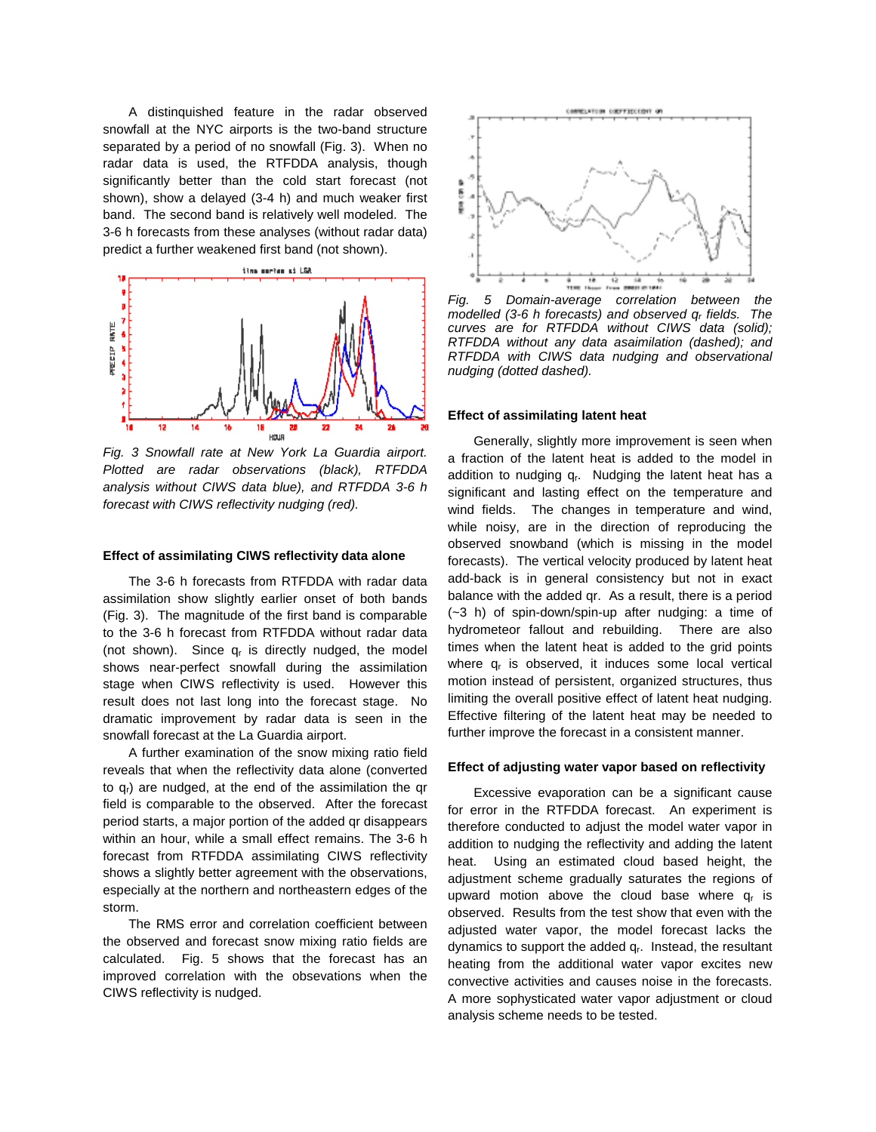A distinquished feature in the radar observed snowfall at the NYC airports is the two-band structure separated by a period of no snowfall (Fig. 3). When no radar data is used, the RTFDDA analysis, though significantly better than the cold start forecast (not shown), show a delayed (3-4 h) and much weaker first band. The second band is relatively well modeled. The 3-6 h forecasts from these analyses (without radar data) predict a further weakened first band (not shown).



Fig. 3 Snowfall rate at New York La Guardia airport. Plotted are radar observations (black), RTFDDA analysis without CIWS data blue), and RTFDDA 3-6 h forecast with CIWS reflectivity nudging (red).

## **Effect of assimilating CIWS reflectivity data alone**

The 3-6 h forecasts from RTFDDA with radar data assimilation show slightly earlier onset of both bands (Fig. 3). The magnitude of the first band is comparable to the 3-6 h forecast from RTFDDA without radar data (not shown). Since  $q_r$  is directly nudged, the model shows near-perfect snowfall during the assimilation stage when CIWS reflectivity is used. However this result does not last long into the forecast stage. No dramatic improvement by radar data is seen in the snowfall forecast at the La Guardia airport.

A further examination of the snow mixing ratio field reveals that when the reflectivity data alone (converted to  $q<sub>r</sub>$ ) are nudged, at the end of the assimilation the qr field is comparable to the observed. After the forecast period starts, a major portion of the added qr disappears within an hour, while a small effect remains. The 3-6 h forecast from RTFDDA assimilating CIWS reflectivity shows a slightly better agreement with the observations, especially at the northern and northeastern edges of the storm.

The RMS error and correlation coefficient between the observed and forecast snow mixing ratio fields are calculated. Fig. 5 shows that the forecast has an improved correlation with the obsevations when the CIWS reflectivity is nudged.



Fig. 5 Domain-average correlation between the modelled (3-6 h forecasts) and observed  $q_r$  fields. The curves are for RTFDDA without CIWS data (solid); RTFDDA without any data asaimilation (dashed); and RTFDDA with CIWS data nudging and observational nudging (dotted dashed).

# **Effect of assimilating latent heat**

Generally, slightly more improvement is seen when a fraction of the latent heat is added to the model in addition to nudging  $q<sub>r</sub>$ . Nudging the latent heat has a significant and lasting effect on the temperature and wind fields. The changes in temperature and wind, while noisy, are in the direction of reproducing the observed snowband (which is missing in the model forecasts). The vertical velocity produced by latent heat add-back is in general consistency but not in exact balance with the added qr. As a result, there is a period (~3 h) of spin-down/spin-up after nudging: a time of hydrometeor fallout and rebuilding. There are also times when the latent heat is added to the grid points where  $q_r$  is observed, it induces some local vertical motion instead of persistent, organized structures, thus limiting the overall positive effect of latent heat nudging. Effective filtering of the latent heat may be needed to further improve the forecast in a consistent manner.

#### **Effect of adjusting water vapor based on reflectivity**

Excessive evaporation can be a significant cause for error in the RTFDDA forecast. An experiment is therefore conducted to adjust the model water vapor in addition to nudging the reflectivity and adding the latent heat. Using an estimated cloud based height, the adjustment scheme gradually saturates the regions of upward motion above the cloud base where  $q_r$  is observed. Results from the test show that even with the adjusted water vapor, the model forecast lacks the dynamics to support the added  $q<sub>r</sub>$ . Instead, the resultant heating from the additional water vapor excites new convective activities and causes noise in the forecasts. A more sophysticated water vapor adjustment or cloud analysis scheme needs to be tested.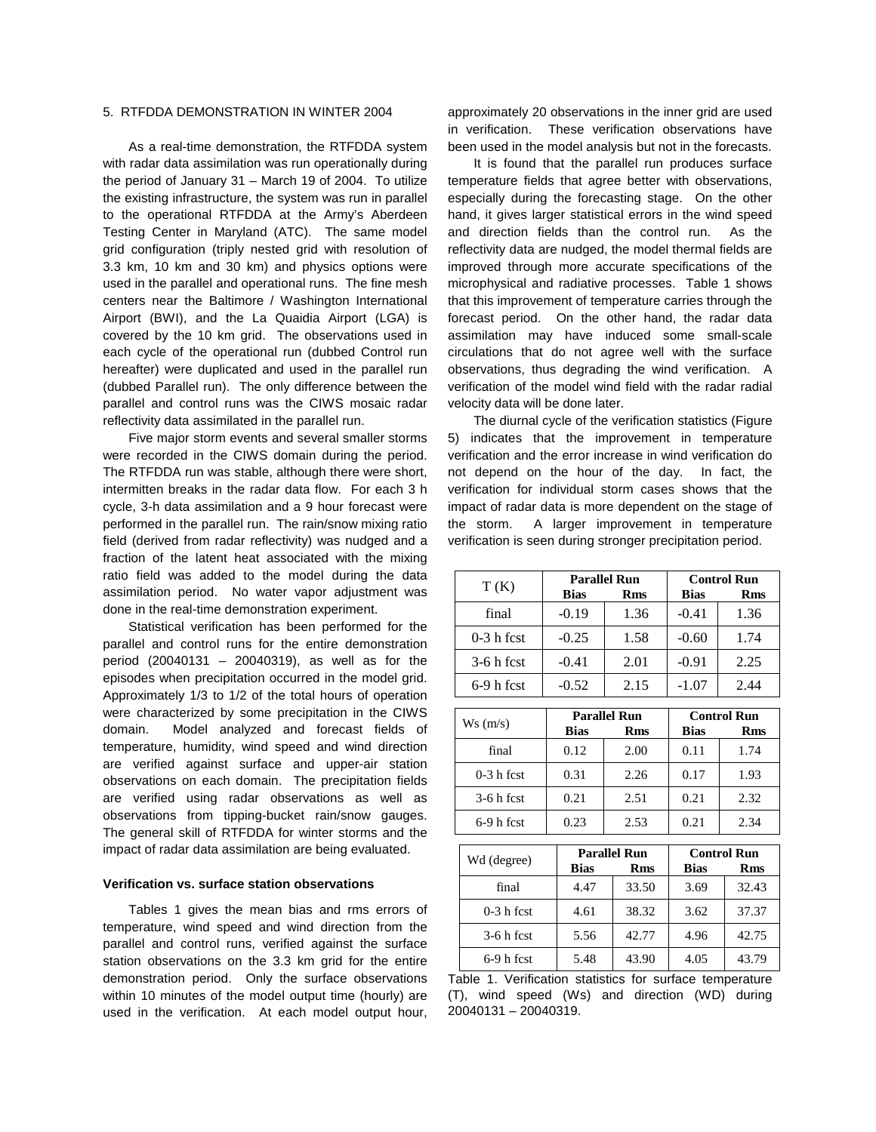## 5. RTFDDA DEMONSTRATION IN WINTER 2004

As a real-time demonstration, the RTFDDA system with radar data assimilation was run operationally during the period of January 31 – March 19 of 2004. To utilize the existing infrastructure, the system was run in parallel to the operational RTFDDA at the Army's Aberdeen Testing Center in Maryland (ATC). The same model grid configuration (triply nested grid with resolution of 3.3 km, 10 km and 30 km) and physics options were used in the parallel and operational runs. The fine mesh centers near the Baltimore / Washington International Airport (BWI), and the La Quaidia Airport (LGA) is covered by the 10 km grid. The observations used in each cycle of the operational run (dubbed Control run hereafter) were duplicated and used in the parallel run (dubbed Parallel run). The only difference between the parallel and control runs was the CIWS mosaic radar reflectivity data assimilated in the parallel run.

Five major storm events and several smaller storms were recorded in the CIWS domain during the period. The RTFDDA run was stable, although there were short, intermitten breaks in the radar data flow. For each 3 h cycle, 3-h data assimilation and a 9 hour forecast were performed in the parallel run. The rain/snow mixing ratio field (derived from radar reflectivity) was nudged and a fraction of the latent heat associated with the mixing ratio field was added to the model during the data assimilation period. No water vapor adjustment was done in the real-time demonstration experiment.

Statistical verification has been performed for the parallel and control runs for the entire demonstration period (20040131 – 20040319), as well as for the episodes when precipitation occurred in the model grid. Approximately 1/3 to 1/2 of the total hours of operation were characterized by some precipitation in the CIWS domain. Model analyzed and forecast fields of temperature, humidity, wind speed and wind direction are verified against surface and upper-air station observations on each domain. The precipitation fields are verified using radar observations as well as observations from tipping-bucket rain/snow gauges. The general skill of RTFDDA for winter storms and the impact of radar data assimilation are being evaluated.

#### **Verification vs. surface station observations**

Tables 1 gives the mean bias and rms errors of temperature, wind speed and wind direction from the parallel and control runs, verified against the surface station observations on the 3.3 km grid for the entire demonstration period. Only the surface observations within 10 minutes of the model output time (hourly) are used in the verification. At each model output hour, approximately 20 observations in the inner grid are used in verification. These verification observations have been used in the model analysis but not in the forecasts.

It is found that the parallel run produces surface temperature fields that agree better with observations, especially during the forecasting stage. On the other hand, it gives larger statistical errors in the wind speed and direction fields than the control run. As the reflectivity data are nudged, the model thermal fields are improved through more accurate specifications of the microphysical and radiative processes. Table 1 shows that this improvement of temperature carries through the forecast period. On the other hand, the radar data assimilation may have induced some small-scale circulations that do not agree well with the surface observations, thus degrading the wind verification. A verification of the model wind field with the radar radial velocity data will be done later.

The diurnal cycle of the verification statistics (Figure 5) indicates that the improvement in temperature verification and the error increase in wind verification do not depend on the hour of the day. In fact, the verification for individual storm cases shows that the impact of radar data is more dependent on the stage of the storm. A larger improvement in temperature verification is seen during stronger precipitation period.

| T(K)         | <b>Parallel Run</b> |            | <b>Control Run</b> |            |
|--------------|---------------------|------------|--------------------|------------|
|              | <b>Bias</b>         | <b>Rms</b> | <b>Bias</b>        | <b>Rms</b> |
| final        | $-0.19$             | 1.36       | $-0.41$            | 1.36       |
| $0-3$ h fcst | $-0.25$             | 1.58       | $-0.60$            | 1.74       |
| $3-6h$ fcst  | $-0.41$             | 2.01       | $-0.91$            | 2.25       |
| $6-9h$ fcst  | $-0.52$             | 2.15       | $-1.07$            | 2.44       |
|              |                     |            |                    |            |

| $Ws$ (m/s)   | <b>Parallel Run</b> |      | <b>Control Run</b> |            |
|--------------|---------------------|------|--------------------|------------|
|              | <b>Bias</b>         | Rms  | Bias               | <b>Rms</b> |
| final        | 0.12                | 2.00 | 0.11               | 1.74       |
| $0-3$ h fcst | 0.31                | 2.26 | 0.17               | 1.93       |
| $3-6h$ fcst  | 0.21                | 2.51 | 0.21               | 2.32       |
| $6-9h$ fcst  | 0.23                | 2.53 | 0.21               | 2.34       |

| Wd (degree)  | <b>Parallel Run</b> |            | <b>Control Run</b> |            |
|--------------|---------------------|------------|--------------------|------------|
|              | <b>Bias</b>         | <b>Rms</b> | <b>Bias</b>        | <b>Rms</b> |
| final        | 4.47                | 33.50      | 3.69               | 32.43      |
| $0-3$ h fcst | 4.61                | 38.32      | 3.62               | 37.37      |
| $3-6h$ fcst  | 5.56                | 42.77      | 4.96               | 42.75      |
| $6-9h$ fcst  | 5.48                | 43.90      | 4.05               | 43.79      |

Table 1. Verification statistics for surface temperature (T), wind speed (Ws) and direction (WD) during 20040131 – 20040319.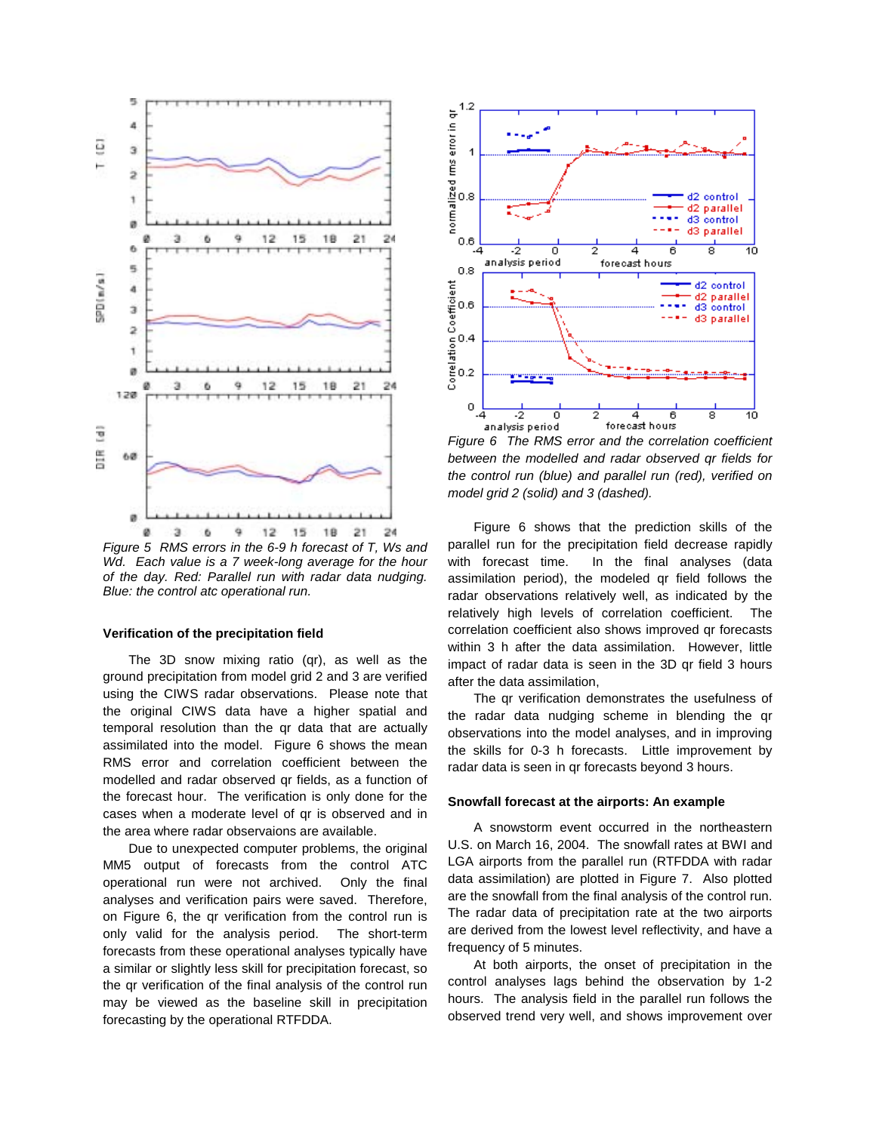

Figure 5 RMS errors in the 6-9 h forecast of T, Ws and Wd. Each value is a 7 week-long average for the hour of the day. Red: Parallel run with radar data nudging. Blue: the control atc operational run.

#### **Verification of the precipitation field**

The 3D snow mixing ratio (qr), as well as the ground precipitation from model grid 2 and 3 are verified using the CIWS radar observations. Please note that the original CIWS data have a higher spatial and temporal resolution than the qr data that are actually assimilated into the model. Figure 6 shows the mean RMS error and correlation coefficient between the modelled and radar observed qr fields, as a function of the forecast hour. The verification is only done for the cases when a moderate level of qr is observed and in the area where radar observaions are available.

Due to unexpected computer problems, the original MM5 output of forecasts from the control ATC operational run were not archived. Only the final analyses and verification pairs were saved. Therefore, on Figure 6, the qr verification from the control run is only valid for the analysis period. The short-term forecasts from these operational analyses typically have a similar or slightly less skill for precipitation forecast, so the qr verification of the final analysis of the control run may be viewed as the baseline skill in precipitation forecasting by the operational RTFDDA.



Figure 6 The RMS error and the correlation coefficient between the modelled and radar observed qr fields for the control run (blue) and parallel run (red), verified on model grid 2 (solid) and 3 (dashed).

Figure 6 shows that the prediction skills of the parallel run for the precipitation field decrease rapidly with forecast time. In the final analyses (data assimilation period), the modeled qr field follows the radar observations relatively well, as indicated by the relatively high levels of correlation coefficient. The correlation coefficient also shows improved qr forecasts within 3 h after the data assimilation. However, little impact of radar data is seen in the 3D qr field 3 hours after the data assimilation,

The qr verification demonstrates the usefulness of the radar data nudging scheme in blending the qr observations into the model analyses, and in improving the skills for 0-3 h forecasts. Little improvement by radar data is seen in qr forecasts beyond 3 hours.

## **Snowfall forecast at the airports: An example**

A snowstorm event occurred in the northeastern U.S. on March 16, 2004. The snowfall rates at BWI and LGA airports from the parallel run (RTFDDA with radar data assimilation) are plotted in Figure 7. Also plotted are the snowfall from the final analysis of the control run. The radar data of precipitation rate at the two airports are derived from the lowest level reflectivity, and have a frequency of 5 minutes.

At both airports, the onset of precipitation in the control analyses lags behind the observation by 1-2 hours. The analysis field in the parallel run follows the observed trend very well, and shows improvement over